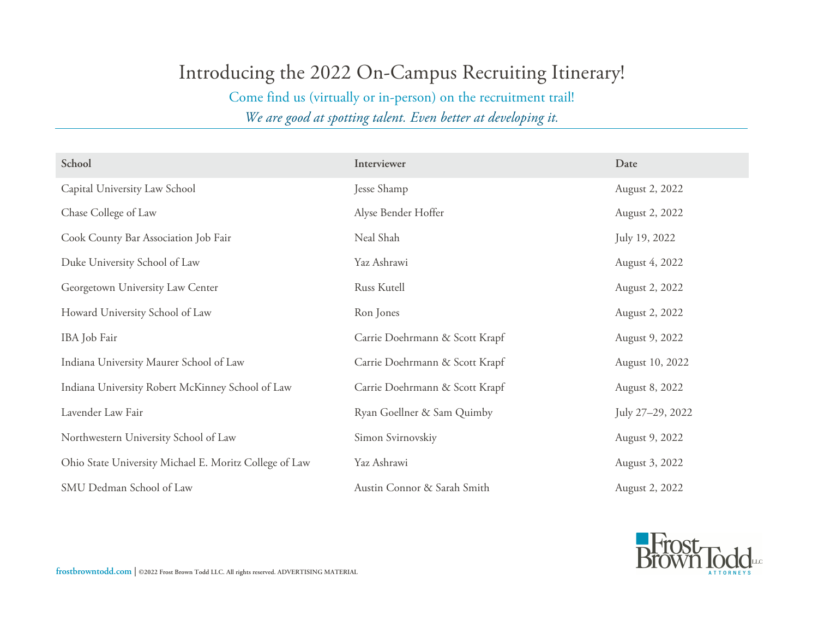## Introducing the 2022 On-Campus Recruiting Itinerary!

Come find us (virtually or in-person) on the recruitment trail!

*We are good at spotting talent. Even better at developing it.*

| School                                                 | Interviewer                    | Date             |
|--------------------------------------------------------|--------------------------------|------------------|
| Capital University Law School                          | Jesse Shamp                    | August 2, 2022   |
| Chase College of Law                                   | Alyse Bender Hoffer            | August 2, 2022   |
| Cook County Bar Association Job Fair                   | Neal Shah                      | July 19, 2022    |
| Duke University School of Law                          | Yaz Ashrawi                    | August 4, 2022   |
| Georgetown University Law Center                       | Russ Kutell                    | August 2, 2022   |
| Howard University School of Law                        | Ron Jones                      | August 2, 2022   |
| IBA Job Fair                                           | Carrie Doehrmann & Scott Krapf | August 9, 2022   |
| Indiana University Maurer School of Law                | Carrie Doehrmann & Scott Krapf | August 10, 2022  |
| Indiana University Robert McKinney School of Law       | Carrie Doehrmann & Scott Krapf | August 8, 2022   |
| Lavender Law Fair                                      | Ryan Goellner & Sam Quimby     | July 27-29, 2022 |
| Northwestern University School of Law                  | Simon Svirnovskiy              | August 9, 2022   |
| Ohio State University Michael E. Moritz College of Law | Yaz Ashrawi                    | August 3, 2022   |
| SMU Dedman School of Law                               | Austin Connor & Sarah Smith    | August 2, 2022   |



**frostbrowntodd.com | ©2022 Frost Brown Todd LLC. All rights reserved. ADVERTISING MATERIAL**